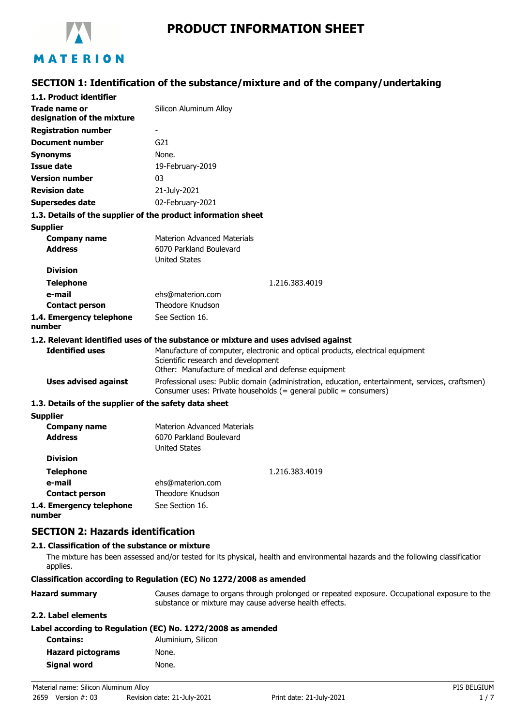

# **PRODUCT INFORMATION SHEET**

# **SECTION 1: Identification of the substance/mixture and of the company/undertaking**

| 1.1. Product identifier                                       |                                                                                                                                                                              |
|---------------------------------------------------------------|------------------------------------------------------------------------------------------------------------------------------------------------------------------------------|
| Trade name or<br>designation of the mixture                   | Silicon Aluminum Alloy                                                                                                                                                       |
| <b>Registration number</b>                                    |                                                                                                                                                                              |
| <b>Document number</b>                                        | G21                                                                                                                                                                          |
| <b>Synonyms</b>                                               | None.                                                                                                                                                                        |
| Issue date                                                    | 19-February-2019                                                                                                                                                             |
| <b>Version number</b>                                         | 03                                                                                                                                                                           |
| <b>Revision date</b>                                          | 21-July-2021                                                                                                                                                                 |
| <b>Supersedes date</b>                                        | 02-February-2021                                                                                                                                                             |
| 1.3. Details of the supplier of the product information sheet |                                                                                                                                                                              |
| <b>Supplier</b>                                               |                                                                                                                                                                              |
| <b>Company name</b><br><b>Address</b>                         | <b>Materion Advanced Materials</b><br>6070 Parkland Boulevard<br><b>United States</b>                                                                                        |
| <b>Division</b>                                               |                                                                                                                                                                              |
| <b>Telephone</b>                                              | 1.216.383.4019                                                                                                                                                               |
| e-mail                                                        | ehs@materion.com                                                                                                                                                             |
| <b>Contact person</b>                                         | <b>Theodore Knudson</b>                                                                                                                                                      |
| 1.4. Emergency telephone<br>number                            | See Section 16.                                                                                                                                                              |
|                                                               | 1.2. Relevant identified uses of the substance or mixture and uses advised against                                                                                           |
| <b>Identified uses</b>                                        | Manufacture of computer, electronic and optical products, electrical equipment<br>Scientific research and development<br>Other: Manufacture of medical and defense equipment |
| <b>Uses advised against</b>                                   | Professional uses: Public domain (administration, education, entertainment, services, craftsmen)<br>Consumer uses: Private households (= general public = consumers)         |
| 1.3. Details of the supplier of the safety data sheet         |                                                                                                                                                                              |
| <b>Supplier</b>                                               |                                                                                                                                                                              |
| <b>Company name</b>                                           | <b>Materion Advanced Materials</b>                                                                                                                                           |
| <b>Address</b>                                                | 6070 Parkland Boulevard                                                                                                                                                      |
|                                                               | <b>United States</b>                                                                                                                                                         |
| <b>Division</b>                                               |                                                                                                                                                                              |
| <b>Telephone</b>                                              | 1.216.383.4019                                                                                                                                                               |
| e-mail                                                        | ehs@materion.com<br>Theodore Knudson                                                                                                                                         |
| <b>Contact person</b>                                         |                                                                                                                                                                              |
| 1.4. Emergency telephone                                      | See Section 16.                                                                                                                                                              |

**number**

**SECTION 2: Hazards identification**

#### **2.1. Classification of the substance or mixture**

The mixture has been assessed and/or tested for its physical, health and environmental hazards and the following classification applies.

#### **Classification according to Regulation (EC) No 1272/2008 as amended**

| <b>Hazard summary</b> | Causes damage to organs through prolonged or repeated exposure. Occupational exposure to the |
|-----------------------|----------------------------------------------------------------------------------------------|
|                       | substance or mixture may cause adverse health effects.                                       |

#### **2.2. Label elements**

| Label according to Regulation (EC) No. 1272/2008 as amended |  |  |
|-------------------------------------------------------------|--|--|
|-------------------------------------------------------------|--|--|

| Aluminium, Silicon |
|--------------------|
| None.              |
| None.              |
|                    |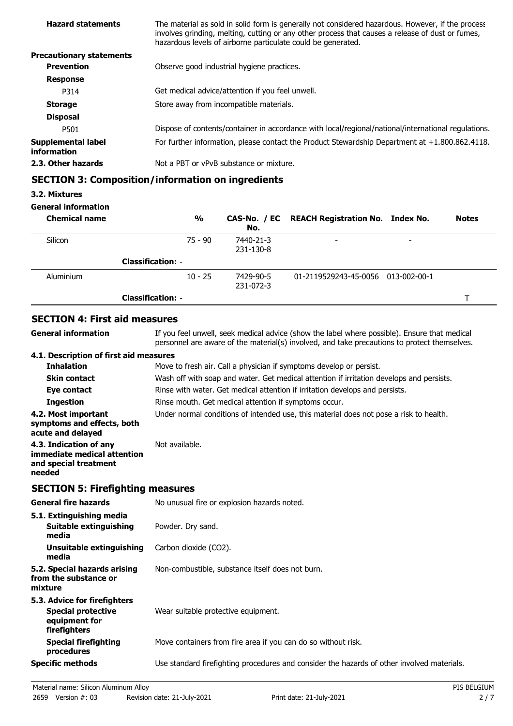| <b>Hazard statements</b>          | The material as sold in solid form is generally not considered hazardous. However, if the process<br>involves grinding, melting, cutting or any other process that causes a release of dust or fumes,<br>hazardous levels of airborne particulate could be generated. |
|-----------------------------------|-----------------------------------------------------------------------------------------------------------------------------------------------------------------------------------------------------------------------------------------------------------------------|
| <b>Precautionary statements</b>   |                                                                                                                                                                                                                                                                       |
| <b>Prevention</b>                 | Observe good industrial hygiene practices.                                                                                                                                                                                                                            |
| <b>Response</b>                   |                                                                                                                                                                                                                                                                       |
| P314                              | Get medical advice/attention if you feel unwell.                                                                                                                                                                                                                      |
| <b>Storage</b>                    | Store away from incompatible materials.                                                                                                                                                                                                                               |
| <b>Disposal</b>                   |                                                                                                                                                                                                                                                                       |
| P501                              | Dispose of contents/container in accordance with local/regional/national/international regulations.                                                                                                                                                                   |
| Supplemental label<br>information | For further information, please contact the Product Stewardship Department at $+1.800.862.4118$ .                                                                                                                                                                     |
| 2.3. Other hazards                | Not a PBT or vPvB substance or mixture.                                                                                                                                                                                                                               |
|                                   |                                                                                                                                                                                                                                                                       |

# **SECTION 3: Composition/information on ingredients**

### **3.2. Mixtures**

#### **General information**

| <b>Chemical name</b> |                          | $\frac{0}{0}$ | No.                    | CAS-No. / EC REACH Registration No. Index No. |   | <b>Notes</b> |
|----------------------|--------------------------|---------------|------------------------|-----------------------------------------------|---|--------------|
| Silicon              |                          | 75 - 90       | 7440-21-3<br>231-130-8 | $\overline{\phantom{0}}$                      | - |              |
|                      | <b>Classification: -</b> |               |                        |                                               |   |              |
| Aluminium            |                          | $10 - 25$     | 7429-90-5<br>231-072-3 | 01-2119529243-45-0056 013-002-00-1            |   |              |
|                      | <b>Classification: -</b> |               |                        |                                               |   |              |

# **SECTION 4: First aid measures**

| General information                                                                      | If you feel unwell, seek medical advice (show the label where possible). Ensure that medical<br>personnel are aware of the material(s) involved, and take precautions to protect themselves. |
|------------------------------------------------------------------------------------------|----------------------------------------------------------------------------------------------------------------------------------------------------------------------------------------------|
| 4.1. Description of first aid measures                                                   |                                                                                                                                                                                              |
| <b>Inhalation</b>                                                                        | Move to fresh air. Call a physician if symptoms develop or persist.                                                                                                                          |
| <b>Skin contact</b>                                                                      | Wash off with soap and water. Get medical attention if irritation develops and persists.                                                                                                     |
| Eye contact                                                                              | Rinse with water. Get medical attention if irritation develops and persists.                                                                                                                 |
| <b>Ingestion</b>                                                                         | Rinse mouth. Get medical attention if symptoms occur.                                                                                                                                        |
| 4.2. Most important<br>symptoms and effects, both<br>acute and delayed                   | Under normal conditions of intended use, this material does not pose a risk to health.                                                                                                       |
| 4.3. Indication of any<br>immediate medical attention<br>and special treatment<br>needed | Not available.                                                                                                                                                                               |
|                                                                                          |                                                                                                                                                                                              |

# **SECTION 5: Firefighting measures**

| <b>General fire hazards</b>                                                                | No unusual fire or explosion hazards noted.                                                |
|--------------------------------------------------------------------------------------------|--------------------------------------------------------------------------------------------|
| 5.1. Extinguishing media<br>Suitable extinguishing<br>media                                | Powder. Dry sand.                                                                          |
| Unsuitable extinguishing<br>media                                                          | Carbon dioxide (CO2).                                                                      |
| 5.2. Special hazards arising<br>from the substance or<br>mixture                           | Non-combustible, substance itself does not burn.                                           |
| 5.3. Advice for firefighters<br><b>Special protective</b><br>equipment for<br>firefighters | Wear suitable protective equipment.                                                        |
| <b>Special firefighting</b><br>procedures                                                  | Move containers from fire area if you can do so without risk.                              |
| <b>Specific methods</b>                                                                    | Use standard firefighting procedures and consider the hazards of other involved materials. |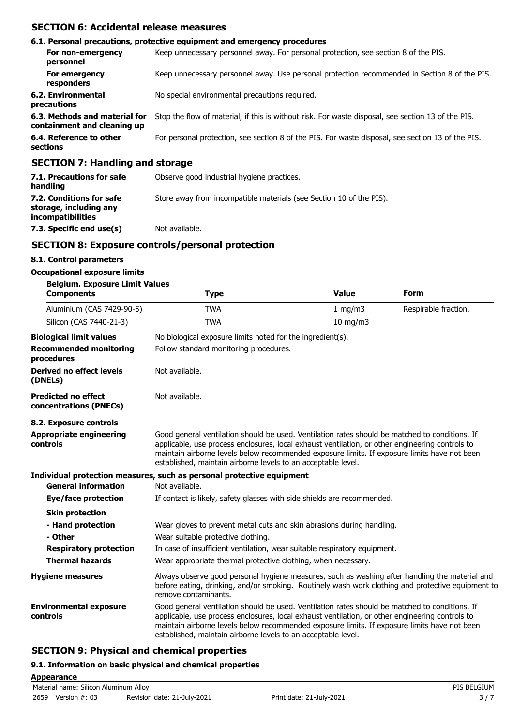# **SECTION 6: Accidental release measures**

|                                                              | 6.1. Personal precautions, protective equipment and emergency procedures                           |
|--------------------------------------------------------------|----------------------------------------------------------------------------------------------------|
| For non-emergency<br>personnel                               | Keep unnecessary personnel away. For personal protection, see section 8 of the PIS.                |
| For emergency<br>responders                                  | Keep unnecessary personnel away. Use personal protection recommended in Section 8 of the PIS.      |
| 6.2. Environmental<br>precautions                            | No special environmental precautions required.                                                     |
| 6.3. Methods and material for<br>containment and cleaning up | Stop the flow of material, if this is without risk. For waste disposal, see section 13 of the PIS. |
| 6.4. Reference to other<br>sections                          | For personal protection, see section 8 of the PIS. For waste disposal, see section 13 of the PIS.  |
| <b>SECTION 7: Handling and storage</b>                       |                                                                                                    |

### **SECTION 7: Handling and storage**

| 7.1. Precautions for safe<br>handling                                   | Observe good industrial hygiene practices.                          |
|-------------------------------------------------------------------------|---------------------------------------------------------------------|
| 7.2. Conditions for safe<br>storage, including any<br>incompatibilities | Store away from incompatible materials (see Section 10 of the PIS). |
| 7.3. Specific end use(s)                                                | Not available.                                                      |

# **SECTION 8: Exposure controls/personal protection**

### **8.1. Control parameters**

### **Occupational exposure limits**

| <b>Belgium. Exposure Limit Values</b><br><b>Components</b> | <b>Type</b>                                                                                                                                                                                                                                                                                                                                                        | <b>Value</b> | <b>Form</b>          |  |
|------------------------------------------------------------|--------------------------------------------------------------------------------------------------------------------------------------------------------------------------------------------------------------------------------------------------------------------------------------------------------------------------------------------------------------------|--------------|----------------------|--|
| Aluminium (CAS 7429-90-5)                                  | <b>TWA</b>                                                                                                                                                                                                                                                                                                                                                         | 1 mg/m3      | Respirable fraction. |  |
| Silicon (CAS 7440-21-3)                                    | <b>TWA</b>                                                                                                                                                                                                                                                                                                                                                         | 10 mg/m3     |                      |  |
| <b>Biological limit values</b>                             | No biological exposure limits noted for the ingredient(s).                                                                                                                                                                                                                                                                                                         |              |                      |  |
| <b>Recommended monitoring</b><br>procedures                | Follow standard monitoring procedures.                                                                                                                                                                                                                                                                                                                             |              |                      |  |
| <b>Derived no effect levels</b><br>(DNELs)                 | Not available.                                                                                                                                                                                                                                                                                                                                                     |              |                      |  |
| <b>Predicted no effect</b><br>concentrations (PNECs)       | Not available.                                                                                                                                                                                                                                                                                                                                                     |              |                      |  |
| 8.2. Exposure controls                                     |                                                                                                                                                                                                                                                                                                                                                                    |              |                      |  |
| <b>Appropriate engineering</b><br>controls                 | Good general ventilation should be used. Ventilation rates should be matched to conditions. If<br>applicable, use process enclosures, local exhaust ventilation, or other engineering controls to<br>maintain airborne levels below recommended exposure limits. If exposure limits have not been<br>established, maintain airborne levels to an acceptable level. |              |                      |  |
|                                                            | Individual protection measures, such as personal protective equipment                                                                                                                                                                                                                                                                                              |              |                      |  |
| <b>General information</b>                                 | Not available.                                                                                                                                                                                                                                                                                                                                                     |              |                      |  |
| Eye/face protection                                        | If contact is likely, safety glasses with side shields are recommended.                                                                                                                                                                                                                                                                                            |              |                      |  |
| <b>Skin protection</b>                                     |                                                                                                                                                                                                                                                                                                                                                                    |              |                      |  |
| - Hand protection<br>- Other                               | Wear gloves to prevent metal cuts and skin abrasions during handling.                                                                                                                                                                                                                                                                                              |              |                      |  |
| <b>Respiratory protection</b>                              | Wear suitable protective clothing.                                                                                                                                                                                                                                                                                                                                 |              |                      |  |
| <b>Thermal hazards</b>                                     | In case of insufficient ventilation, wear suitable respiratory equipment.<br>Wear appropriate thermal protective clothing, when necessary.                                                                                                                                                                                                                         |              |                      |  |
| <b>Hygiene measures</b>                                    | Always observe good personal hygiene measures, such as washing after handling the material and<br>before eating, drinking, and/or smoking. Routinely wash work clothing and protective equipment to<br>remove contaminants.                                                                                                                                        |              |                      |  |
| <b>Environmental exposure</b><br>controls                  | Good general ventilation should be used. Ventilation rates should be matched to conditions. If<br>applicable, use process enclosures, local exhaust ventilation, or other engineering controls to<br>maintain airborne levels below recommended exposure limits. If exposure limits have not been<br>established, maintain airborne levels to an acceptable level. |              |                      |  |

# **SECTION 9: Physical and chemical properties**

## **9.1. Information on basic physical and chemical properties**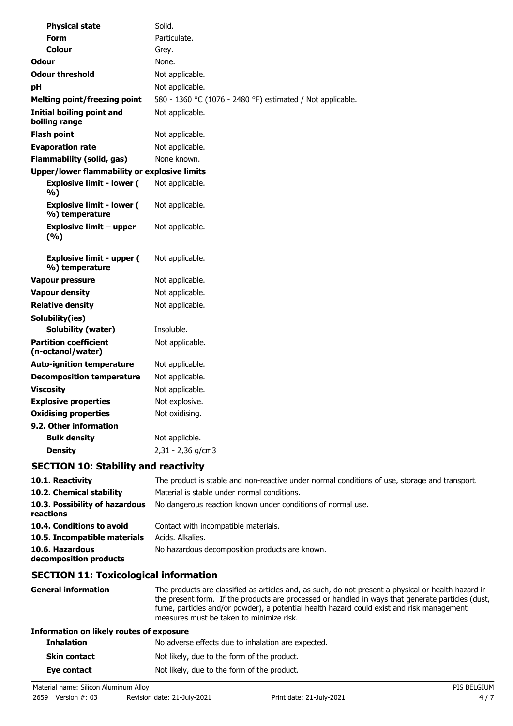| <b>Physical state</b>                              | Solid.                                                                                        |
|----------------------------------------------------|-----------------------------------------------------------------------------------------------|
| <b>Form</b>                                        | Particulate.                                                                                  |
| Colour                                             | Grey.                                                                                         |
| <b>Odour</b>                                       | None.                                                                                         |
| <b>Odour threshold</b>                             | Not applicable.                                                                               |
| pH                                                 | Not applicable.                                                                               |
| <b>Melting point/freezing point</b>                | 580 - 1360 °C (1076 - 2480 °F) estimated / Not applicable.                                    |
| Initial boiling point and<br>boiling range         | Not applicable.                                                                               |
| <b>Flash point</b>                                 | Not applicable.                                                                               |
| <b>Evaporation rate</b>                            | Not applicable.                                                                               |
| <b>Flammability (solid, gas)</b>                   | None known.                                                                                   |
| Upper/lower flammability or explosive limits       |                                                                                               |
| <b>Explosive limit - lower (</b><br>%)             | Not applicable.                                                                               |
| <b>Explosive limit - lower (</b><br>%) temperature | Not applicable.                                                                               |
| <b>Explosive limit - upper</b><br>(%)              | Not applicable.                                                                               |
| <b>Explosive limit - upper (</b><br>%) temperature | Not applicable.                                                                               |
| <b>Vapour pressure</b>                             | Not applicable.                                                                               |
| <b>Vapour density</b>                              | Not applicable.                                                                               |
| <b>Relative density</b>                            | Not applicable.                                                                               |
| Solubility(ies)                                    |                                                                                               |
| <b>Solubility (water)</b>                          | Insoluble.                                                                                    |
| <b>Partition coefficient</b><br>(n-octanol/water)  | Not applicable.                                                                               |
| <b>Auto-ignition temperature</b>                   | Not applicable.                                                                               |
| <b>Decomposition temperature</b>                   | Not applicable.                                                                               |
| <b>Viscosity</b>                                   | Not applicable.                                                                               |
| <b>Explosive properties</b>                        | Not explosive.                                                                                |
| <b>Oxidising properties</b>                        | Not oxidising.                                                                                |
| 9.2. Other information                             |                                                                                               |
| <b>Bulk density</b>                                | Not applicble.                                                                                |
| <b>Density</b>                                     | 2,31 - 2,36 g/cm3                                                                             |
| <b>SECTION 10: Stability and reactivity</b>        |                                                                                               |
| 10.1. Reactivity                                   | The product is stable and non-reactive under normal conditions of use, storage and transport. |
| 10.2. Chemical stability                           | Material is stable under normal conditions.                                                   |
| 10.3. Possibility of hazardous<br>reactions        | No dangerous reaction known under conditions of normal use.                                   |
| 10.4. Conditions to avoid                          | Contact with incompatible materials.                                                          |

10.5. Incompatible materials Acids. Alkalies.

10.6. Hazardous **No hazardous decomposition products are known. decomposition products**

# **SECTION 11: Toxicological information**

**General information** The products are classified as articles and, as such, do not present a physical or health hazard in the present form. If the products are processed or handled in ways that generate particles (dust, fume, particles and/or powder), a potential health hazard could exist and risk management measures must be taken to minimize risk.

### **Information on likely routes of exposure**

| <b>Inhalation</b>   | No adverse effects due to inhalation are expected. |
|---------------------|----------------------------------------------------|
| <b>Skin contact</b> | Not likely, due to the form of the product.        |
| Eve contact         | Not likely, due to the form of the product.        |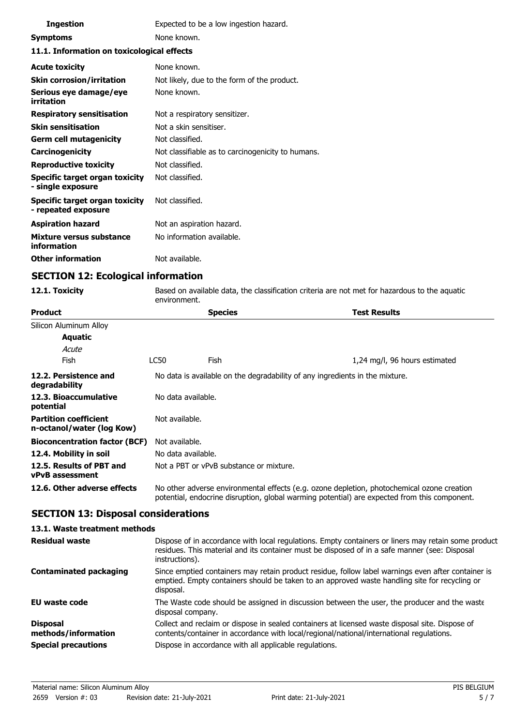| <b>Ingestion</b>                                      | Expected to be a low ingestion hazard.            |  |  |
|-------------------------------------------------------|---------------------------------------------------|--|--|
| <b>Symptoms</b>                                       | None known.                                       |  |  |
| 11.1. Information on toxicological effects            |                                                   |  |  |
| <b>Acute toxicity</b>                                 | None known.                                       |  |  |
| <b>Skin corrosion/irritation</b>                      | Not likely, due to the form of the product.       |  |  |
| Serious eye damage/eye<br>irritation                  | None known.                                       |  |  |
| <b>Respiratory sensitisation</b>                      | Not a respiratory sensitizer.                     |  |  |
| <b>Skin sensitisation</b>                             | Not a skin sensitiser.                            |  |  |
| <b>Germ cell mutagenicity</b>                         | Not classified.                                   |  |  |
| Carcinogenicity                                       | Not classifiable as to carcinogenicity to humans. |  |  |
| <b>Reproductive toxicity</b>                          | Not classified.                                   |  |  |
| Specific target organ toxicity<br>- single exposure   | Not classified.                                   |  |  |
| Specific target organ toxicity<br>- repeated exposure | Not classified.                                   |  |  |
| <b>Aspiration hazard</b>                              | Not an aspiration hazard.                         |  |  |
| Mixture versus substance<br>information               | No information available.                         |  |  |
| <b>Other information</b>                              | Not available.                                    |  |  |

# **SECTION 12: Ecological information**

**12.1. Toxicity** Based on available data, the classification criteria are not met for hazardous to the aquatic environment.

| Product                                                   |                    | <b>Species</b>                                                                                                                                                                             | <b>Test Results</b>           |
|-----------------------------------------------------------|--------------------|--------------------------------------------------------------------------------------------------------------------------------------------------------------------------------------------|-------------------------------|
| Silicon Aluminum Alloy                                    |                    |                                                                                                                                                                                            |                               |
| <b>Aquatic</b>                                            |                    |                                                                                                                                                                                            |                               |
| Acute                                                     |                    |                                                                                                                                                                                            |                               |
| Fish                                                      | LC50               | Fish                                                                                                                                                                                       | 1,24 mg/l, 96 hours estimated |
| 12.2. Persistence and<br>degradability                    |                    | No data is available on the degradability of any ingredients in the mixture.                                                                                                               |                               |
| 12.3. Bioaccumulative<br>potential                        | No data available. |                                                                                                                                                                                            |                               |
| <b>Partition coefficient</b><br>n-octanol/water (log Kow) | Not available.     |                                                                                                                                                                                            |                               |
| <b>Bioconcentration factor (BCF)</b>                      | Not available.     |                                                                                                                                                                                            |                               |
| 12.4. Mobility in soil                                    | No data available. |                                                                                                                                                                                            |                               |
| 12.5. Results of PBT and<br>vPvB assessment               |                    | Not a PBT or vPvB substance or mixture.                                                                                                                                                    |                               |
| 12.6. Other adverse effects                               |                    | No other adverse environmental effects (e.g. ozone depletion, photochemical ozone creation<br>potential, endocrine disruption, global warming potential) are expected from this component. |                               |

# **SECTION 13: Disposal considerations**

# **13.1. Waste treatment methods**

| <b>Residual waste</b>                  | Dispose of in accordance with local regulations. Empty containers or liners may retain some product<br>residues. This material and its container must be disposed of in a safe manner (see: Disposal<br>instructions). |
|----------------------------------------|------------------------------------------------------------------------------------------------------------------------------------------------------------------------------------------------------------------------|
| <b>Contaminated packaging</b>          | Since emptied containers may retain product residue, follow label warnings even after container is<br>emptied. Empty containers should be taken to an approved waste handling site for recycling or<br>disposal.       |
| <b>EU waste code</b>                   | The Waste code should be assigned in discussion between the user, the producer and the waste<br>disposal company.                                                                                                      |
| <b>Disposal</b><br>methods/information | Collect and reclaim or dispose in sealed containers at licensed waste disposal site. Dispose of<br>contents/container in accordance with local/regional/national/international regulations.                            |
| <b>Special precautions</b>             | Dispose in accordance with all applicable regulations.                                                                                                                                                                 |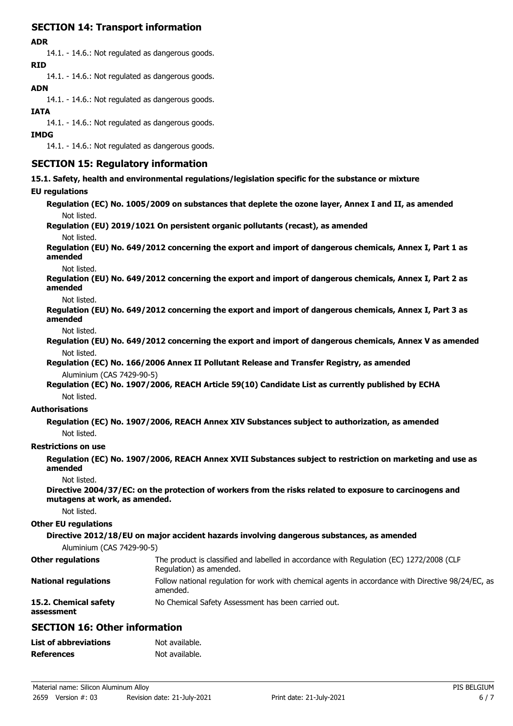# **SECTION 14: Transport information**

#### **ADR**

14.1. - 14.6.: Not regulated as dangerous goods. **RID**

14.1. - 14.6.: Not regulated as dangerous goods.

### **ADN**

14.1. - 14.6.: Not regulated as dangerous goods.

#### **IATA**

14.1. - 14.6.: Not regulated as dangerous goods.

#### **IMDG**

14.1. - 14.6.: Not regulated as dangerous goods.

# **SECTION 15: Regulatory information**

**15.1. Safety, health and environmental regulations/legislation specific for the substance or mixture**

#### **EU regulations**

**Regulation (EC) No. 1005/2009 on substances that deplete the ozone layer, Annex I and II, as amended** Not listed.

**Regulation (EU) 2019/1021 On persistent organic pollutants (recast), as amended**

#### Not listed.

**Regulation (EU) No. 649/2012 concerning the export and import of dangerous chemicals, Annex I, Part 1 as amended**

Not listed.

**Regulation (EU) No. 649/2012 concerning the export and import of dangerous chemicals, Annex I, Part 2 as amended**

Not listed.

**Regulation (EU) No. 649/2012 concerning the export and import of dangerous chemicals, Annex I, Part 3 as amended**

Not listed.

**Regulation (EU) No. 649/2012 concerning the export and import of dangerous chemicals, Annex V as amended** Not listed.

**Regulation (EC) No. 166/2006 Annex II Pollutant Release and Transfer Registry, as amended** Aluminium (CAS 7429-90-5)

**Regulation (EC) No. 1907/2006, REACH Article 59(10) Candidate List as currently published by ECHA** Not listed.

#### **Authorisations**

**Regulation (EC) No. 1907/2006, REACH Annex XIV Substances subject to authorization, as amended** Not listed.

#### **Restrictions on use**

**Regulation (EC) No. 1907/2006, REACH Annex XVII Substances subject to restriction on marketing and use as amended**

Not listed.

**Directive 2004/37/EC: on the protection of workers from the risks related to exposure to carcinogens and mutagens at work, as amended.**

Not listed.

#### **Other EU regulations**

**Directive 2012/18/EU on major accident hazards involving dangerous substances, as amended**

Aluminium (CAS 7429-90-5)

| <b>Other regulations</b>            | The product is classified and labelled in accordance with Regulation (EC) 1272/2008 (CLP<br>Regulation) as amended. |
|-------------------------------------|---------------------------------------------------------------------------------------------------------------------|
| <b>National regulations</b>         | Follow national regulation for work with chemical agents in accordance with Directive 98/24/EC, as<br>amended.      |
| 15.2. Chemical safety<br>assessment | No Chemical Safety Assessment has been carried out.                                                                 |

# **SECTION 16: Other information**

| <b>List of abbreviations</b> | Not available. |
|------------------------------|----------------|
| <b>References</b>            | Not available. |